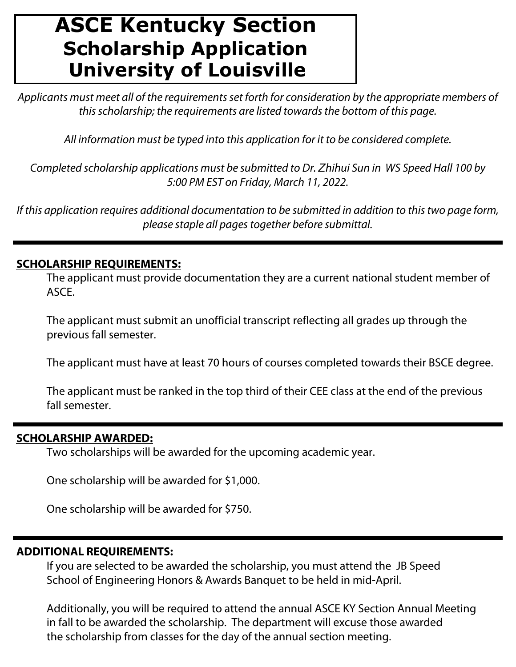# **ASCE Kentucky Section Scholarship Application University of Louisville**

*Applicants must meet all of the requirements set forth for consideration by the appropriate members of this scholarship; the requirements are listed towards the bottom of this page.*

*All information must be typed into this application for it to be considered complete.*

*Completed scholarship applications must be submitted to Dr. Zhihui Sun in WS Speed Hall 100 by 5:00 PM EST on Friday, March 11, 2022.*

*If this application requires additional documentation to be submitted in addition to this two page form, please staple all pages together before submittal.*

## **SCHOLARSHIP REQUIREMENTS:**

The applicant must provide documentation they are a current national student member of ASCE.

The applicant must submit an unofficial transcript reflecting all grades up through the previous fall semester.

The applicant must have at least 70 hours of courses completed towards their BSCE degree.

The applicant must be ranked in the top third of their CEE class at the end of the previous fall semester.

### **SCHOLARSHIP AWARDED:**

Two scholarships will be awarded for the upcoming academic year.

One scholarship will be awarded for \$1,000.

One scholarship will be awarded for \$750.

### **ADDITIONAL REQUIREMENTS:**

If you are selected to be awarded the scholarship, you must attend the JB Speed School of Engineering Honors & Awards Banquet to be held in mid-April.

Additionally, you will be required to attend the annual ASCE KY Section Annual Meeting in fall to be awarded the scholarship. The department will excuse those awarded the scholarship from classes for the day of the annual section meeting.